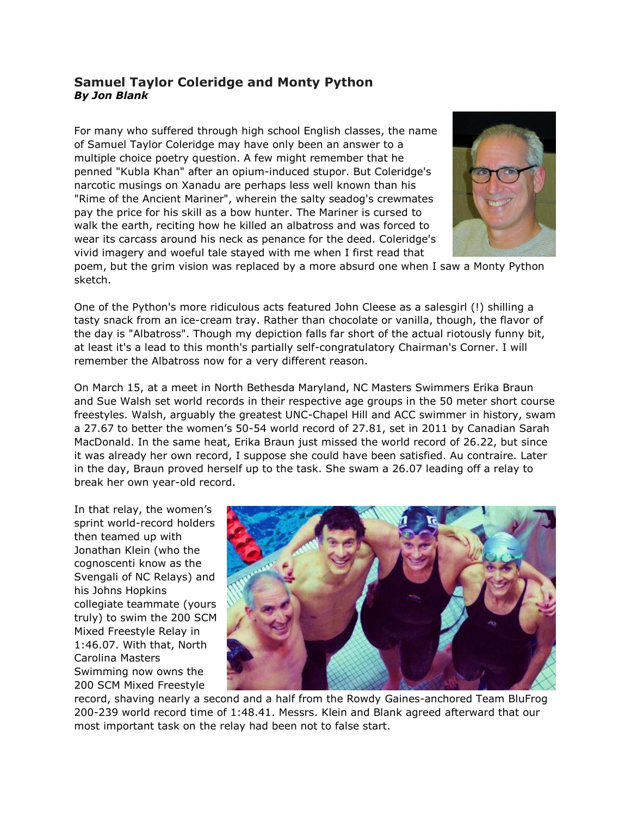## **Samuel Taylor Coleridge and Monty Python** *By Jon Blank*

For many who suffered through high school English classes, the name of Samuel Taylor Coleridge may have only been an answer to a multiple choice poetry question. A few might remember that he penned "Kubla Khan" after an opium-induced stupor. But Coleridge's narcotic musings on Xanadu are perhaps less well known than his "Rime of the Ancient Mariner", wherein the salty seadog's crewmates pay the price for his skill as a bow hunter. The Mariner is cursed to walk the earth, reciting how he killed an albatross and was forced to wear its carcass around his neck as penance for the deed. Coleridge's vivid imagery and woeful tale stayed with me when I first read that



poem, but the grim vision was replaced by a more absurd one when I saw a Monty Python sketch.

One of the Python's more ridiculous acts featured John Cleese as a salesgirl (!) shilling a tasty snack from an ice-cream tray. Rather than chocolate or vanilla, though, the flavor of the day is "Albatross". Though my depiction falls far short of the actual riotously funny bit, at least it's a lead to this month's partially self-congratulatory Chairman's Corner. I will remember the Albatross now for a very different reason.

On March 15, at a meet in North Bethesda Maryland, NC Masters Swimmers Erika Braun and Sue Walsh set world records in their respective age groups in the 50 meter short course freestyles. Walsh, arguably the greatest UNC-Chapel Hill and ACC swimmer in history, swam a 27.67 to better the women's 50-54 world record of 27.81, set in 2011 by Canadian Sarah MacDonald. In the same heat, Erika Braun just missed the world record of 26.22, but since it was already her own record, I suppose she could have been satisfied. Au contraire. Later in the day, Braun proved herself up to the task. She swam a 26.07 leading off a relay to break her own year-old record.

In that relay, the women's sprint world-record holders then teamed up with Jonathan Klein (who the cognoscenti know as the Svengali of NC Relays) and his Johns Hopkins collegiate teammate (yours truly) to swim the 200 SCM Mixed Freestyle Relay in 1:46.07. With that, North Carolina Masters Swimming now owns the 200 SCM Mixed Freestyle



record, shaving nearly a second and a half from the Rowdy Gaines-anchored Team BluFrog 200-239 world record time of 1:48.41. Messrs. Klein and Blank agreed afterward that our most important task on the relay had been not to false start.